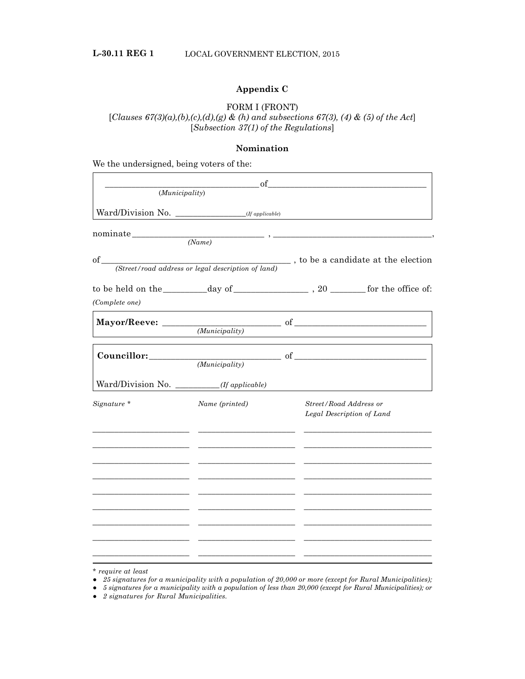## **Appendix C**

### FORM I (FRONT)

[*Clauses 67(3)(a),(b),(c),(d),(g) & (h) and subsections 67(3), (4) & (5) of the Act*] [*Subsection 37(1) of the Regulations*]

#### **Nomination**

We the undersigned, being voters of the:

|                                             | of<br>$\frac{1}{2}$                                                                                                                                                                                                                                                           |                                                                            |
|---------------------------------------------|-------------------------------------------------------------------------------------------------------------------------------------------------------------------------------------------------------------------------------------------------------------------------------|----------------------------------------------------------------------------|
| (Municipality)                              |                                                                                                                                                                                                                                                                               |                                                                            |
|                                             | Ward/Division No. ______________________(If applicable)                                                                                                                                                                                                                       |                                                                            |
| $nominate$ (Name)                           |                                                                                                                                                                                                                                                                               |                                                                            |
|                                             |                                                                                                                                                                                                                                                                               |                                                                            |
|                                             |                                                                                                                                                                                                                                                                               | of $\frac{1}{\sqrt{3}}$ (Street/road address or legal description of land) |
|                                             |                                                                                                                                                                                                                                                                               |                                                                            |
| (Complete one)                              |                                                                                                                                                                                                                                                                               |                                                                            |
|                                             | (Municipality)                                                                                                                                                                                                                                                                |                                                                            |
|                                             | (Municipality)                                                                                                                                                                                                                                                                | $Counter:$ of $_{\_}$                                                      |
| Ward/Division No. __________(If applicable) |                                                                                                                                                                                                                                                                               |                                                                            |
| $Signature *$                               | Name (printed)                                                                                                                                                                                                                                                                | Street/Road Address or<br>Legal Description of Land                        |
|                                             |                                                                                                                                                                                                                                                                               |                                                                            |
|                                             |                                                                                                                                                                                                                                                                               |                                                                            |
|                                             |                                                                                                                                                                                                                                                                               |                                                                            |
|                                             | the control of the control of the control of<br>the control of the control of the control of the control of the control of the control of the control of the control of the control of the control of the control of the control of the control of the control of the control | <u> 1989 - Johann Barnett, fransk politiker (d. 1989)</u>                  |
|                                             |                                                                                                                                                                                                                                                                               |                                                                            |
|                                             |                                                                                                                                                                                                                                                                               |                                                                            |
|                                             |                                                                                                                                                                                                                                                                               |                                                                            |

*\* require at least*

*● 25 signatures for a municipality with a population of 20,000 or more (except for Rural Municipalities);*

 $\bullet$  5 signatures for a municipality with a population of less than 20,000 (except for Rural Municipalities); or

*● 2 signatures for Rural Municipalities.*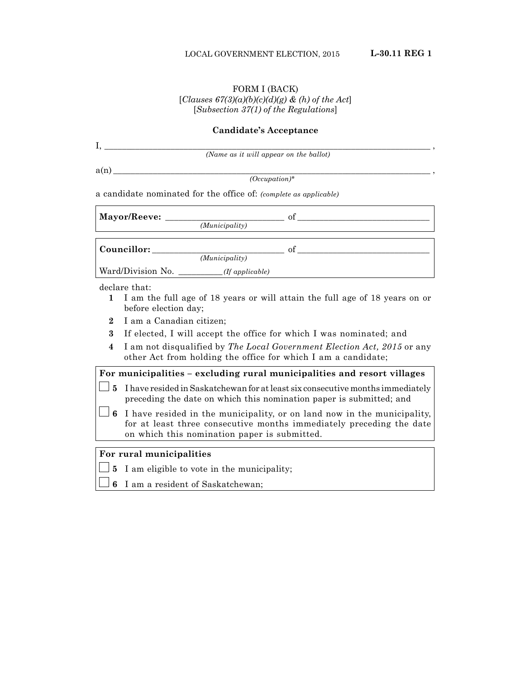### FORM I (BACK) [*Clauses 67(3)(a)(b)(c)(d)(g) & (h) of the Act*] [*Subsection 37(1) of the Regulations*]

#### **Candidate's Acceptance**

I, \_\_\_\_\_\_\_\_\_\_\_\_\_\_\_\_\_\_\_\_\_\_\_\_\_\_\_\_\_\_\_\_\_\_\_\_\_\_\_\_\_\_\_\_\_\_\_\_\_\_\_\_\_\_\_\_\_\_\_\_\_\_\_\_\_\_\_\_\_\_\_\_\_\_ , *(Name as it will appear on the ballot)* 

a(n) \_\_\_\_\_\_\_\_\_\_\_\_\_\_\_\_\_\_\_\_\_\_\_\_\_\_\_\_\_\_\_\_\_\_\_\_\_\_\_\_\_\_\_\_\_\_\_\_\_\_\_\_\_\_\_\_\_\_\_\_\_\_\_\_\_\_\_\_\_\_\_\_ ,

*(Occupation)\**

a candidate nominated for the office of: *(complete as applicable)*

| Mayor/Reeve:      |                 | Ωt |
|-------------------|-----------------|----|
|                   | (Municipality)  |    |
|                   |                 |    |
| Councillor:       |                 | Ωt |
|                   | (Municipality)  |    |
| Ward/Division No. | (If applicable) |    |

declare that:

- **1** I am the full age of 18 years or will attain the full age of 18 years on or before election day;
- **2** I am a Canadian citizen;
- **3** If elected, I will accept the office for which I was nominated; and
- **4** I am not disqualified by *The Local Government Election Act, 2015* or any other Act from holding the office for which I am a candidate;

**For municipalities – excluding rural municipalities and resort villages**

- **5** I have resided in Saskatchewan for at least six consecutive months immediately preceding the date on which this nomination paper is submitted; and
- $\Box$  6 I have resided in the municipality, or on land now in the municipality, for at least three consecutive months immediately preceding the date on which this nomination paper is submitted.

# **For rural municipalities**

- $\frac{1}{2}$  **5** I am eligible to vote in the municipality;
- **6** I am a resident of Saskatchewan;